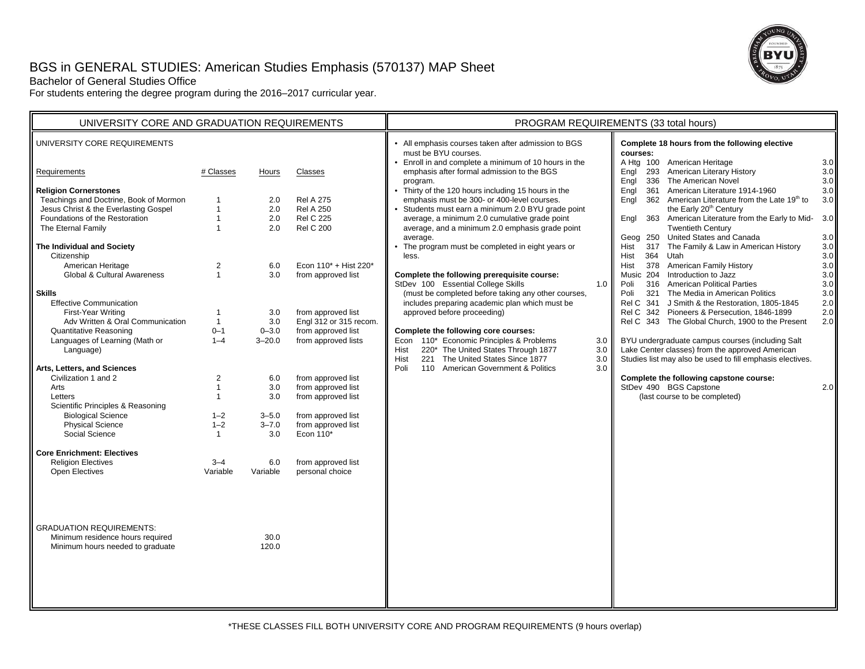# BGS in GENERAL STUDIES: American Studies Emphasis (570137) MAP Sheet



Bachelor of General Studies Office

For students entering the degree program during the 2016–2017 curricular year.

| UNIVERSITY CORE AND GRADUATION REQUIREMENTS                                                                                                                                                                                                                                                                                                                                                      |                                                                                                                                    |                                                                                                  |                                                                                                                                                                                                               | PROGRAM REQUIREMENTS (33 total hours)                                                                                                                                                                                                                                                                                                                                                                                                                                                                                                                         |                          |                                                                                                                                                                                                                                                                                                                                                                                                                                                                                                                                                                                                                                                                          |                                                                                                         |
|--------------------------------------------------------------------------------------------------------------------------------------------------------------------------------------------------------------------------------------------------------------------------------------------------------------------------------------------------------------------------------------------------|------------------------------------------------------------------------------------------------------------------------------------|--------------------------------------------------------------------------------------------------|---------------------------------------------------------------------------------------------------------------------------------------------------------------------------------------------------------------|---------------------------------------------------------------------------------------------------------------------------------------------------------------------------------------------------------------------------------------------------------------------------------------------------------------------------------------------------------------------------------------------------------------------------------------------------------------------------------------------------------------------------------------------------------------|--------------------------|--------------------------------------------------------------------------------------------------------------------------------------------------------------------------------------------------------------------------------------------------------------------------------------------------------------------------------------------------------------------------------------------------------------------------------------------------------------------------------------------------------------------------------------------------------------------------------------------------------------------------------------------------------------------------|---------------------------------------------------------------------------------------------------------|
| UNIVERSITY CORE REQUIREMENTS                                                                                                                                                                                                                                                                                                                                                                     |                                                                                                                                    |                                                                                                  |                                                                                                                                                                                                               | • All emphasis courses taken after admission to BGS<br>must be BYU courses.<br>Enroll in and complete a minimum of 10 hours in the                                                                                                                                                                                                                                                                                                                                                                                                                            |                          | Complete 18 hours from the following elective<br>courses:<br>A Htg 100 American Heritage                                                                                                                                                                                                                                                                                                                                                                                                                                                                                                                                                                                 | 3.0                                                                                                     |
| Requirements                                                                                                                                                                                                                                                                                                                                                                                     | # Classes                                                                                                                          | Hours                                                                                            | Classes                                                                                                                                                                                                       | emphasis after formal admission to the BGS<br>program.                                                                                                                                                                                                                                                                                                                                                                                                                                                                                                        |                          | 293 American Literary History<br>Engl<br>Engl<br>336 The American Novel                                                                                                                                                                                                                                                                                                                                                                                                                                                                                                                                                                                                  | 3.0<br>$3.0\,$                                                                                          |
| <b>Religion Cornerstones</b><br>Teachings and Doctrine, Book of Mormon<br>Jesus Christ & the Everlasting Gospel<br>Foundations of the Restoration<br>The Eternal Family<br>The Individual and Society<br>Citizenship<br>American Heritage<br><b>Global &amp; Cultural Awareness</b><br><b>Skills</b><br><b>Effective Communication</b><br>First-Year Writing<br>Adv Written & Oral Communication | $\mathbf{1}$<br>$\overline{1}$<br>$\mathbf{1}$<br>$\overline{1}$<br>$\overline{2}$<br>$\mathbf{1}$<br>$\mathbf{1}$<br>$\mathbf{1}$ | 2.0<br>2.0<br>2.0<br>2.0<br>6.0<br>3.0<br>3.0<br>3.0                                             | <b>Rel A 275</b><br><b>Rel A 250</b><br><b>Rel C 225</b><br><b>Rel C 200</b><br>Econ 110* + Hist 220*<br>from approved list<br>from approved list<br>Engl 312 or 315 recom.                                   | Thirty of the 120 hours including 15 hours in the<br>emphasis must be 300- or 400-level courses.<br>Students must earn a minimum 2.0 BYU grade point<br>average, a minimum 2.0 cumulative grade point<br>average, and a minimum 2.0 emphasis grade point<br>average.<br>The program must be completed in eight years or<br>less.<br>Complete the following prerequisite course:<br>StDev 100 Essential College Skills<br>(must be completed before taking any other courses,<br>includes preparing academic plan which must be<br>approved before proceeding) | 1.0                      | Engl<br>361 American Literature 1914-1960<br>362 American Literature from the Late 19th to<br>Engl<br>the Early 20 <sup>th</sup> Century<br>363 American Literature from the Early to Mid-<br>Engl<br><b>Twentieth Century</b><br>Geog 250 United States and Canada<br>317 The Family & Law in American History<br>Hist<br><b>Hist</b><br>364 Utah<br>378 American Family History<br>Hist<br>Music 204 Introduction to Jazz<br>Poli<br>316 American Political Parties<br>321 The Media in American Politics<br>Poli<br>Rel C 341 J Smith & the Restoration, 1805-1845<br>Rel C 342 Pioneers & Persecution, 1846-1899<br>Rel C 343 The Global Church, 1900 to the Present | 3.0<br>3.0<br>3.0<br>3.0<br>$3.0\,$<br>$3.0\,$<br>$3.0\,$<br>3.0<br>$3.0\,$<br>3.0<br>2.0<br>2.0<br>2.0 |
| <b>Quantitative Reasoning</b><br>Languages of Learning (Math or<br>Language)<br>Arts, Letters, and Sciences<br>Civilization 1 and 2<br>Arts<br>Letters<br>Scientific Principles & Reasoning<br><b>Biological Science</b><br><b>Physical Science</b><br>Social Science<br><b>Core Enrichment: Electives</b><br><b>Religion Electives</b><br><b>Open Electives</b>                                 | $0 - 1$<br>$1 - 4$<br>$\overline{2}$<br>$\mathbf{1}$<br>$\mathbf{1}$<br>$1 - 2$<br>$1 - 2$<br>$\mathbf{1}$<br>$3 - 4$<br>Variable  | $0 - 3.0$<br>$3 - 20.0$<br>6.0<br>3.0<br>3.0<br>$3 - 5.0$<br>$3 - 7.0$<br>3.0<br>6.0<br>Variable | from approved list<br>from approved lists<br>from approved list<br>from approved list<br>from approved list<br>from approved list<br>from approved list<br>Econ 110*<br>from approved list<br>personal choice | Complete the following core courses:<br>Econ 110* Economic Principles & Problems<br>220* The United States Through 1877<br>Hist<br>221 The United States Since 1877<br>Hist<br>110 American Government & Politics<br>Poli                                                                                                                                                                                                                                                                                                                                     | 3.0<br>3.0<br>3.0<br>3.0 | BYU undergraduate campus courses (including Salt<br>Lake Center classes) from the approved American<br>Studies list may also be used to fill emphasis electives.<br>Complete the following capstone course:<br>StDev 490 BGS Capstone<br>(last course to be completed)                                                                                                                                                                                                                                                                                                                                                                                                   | 2.0                                                                                                     |
| <b>GRADUATION REQUIREMENTS:</b><br>Minimum residence hours required<br>Minimum hours needed to graduate                                                                                                                                                                                                                                                                                          |                                                                                                                                    | 30.0<br>120.0                                                                                    |                                                                                                                                                                                                               |                                                                                                                                                                                                                                                                                                                                                                                                                                                                                                                                                               |                          |                                                                                                                                                                                                                                                                                                                                                                                                                                                                                                                                                                                                                                                                          |                                                                                                         |